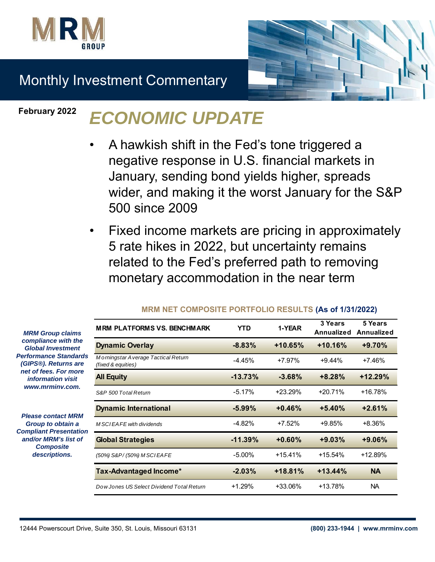



# Monthly Investment Commentary

### **February 2022**

# *ECONOMIC UPDATE*

- A hawkish shift in the Fed's tone triggered a negative response in U.S. financial markets in January, sending bond yields higher, spreads wider, and making it the worst January for the S&P 500 since 2009
- Fixed income markets are pricing in approximately 5 rate hikes in 2022, but uncertainty remains related to the Fed's preferred path to removing monetary accommodation in the near term

| <b>MRM PLATFORMS VS. BENCHMARK</b>                        | YTD        | 1-YEAR    | 3 Years<br>Annualized | 5 Years<br>Annualized |
|-----------------------------------------------------------|------------|-----------|-----------------------|-----------------------|
| <b>Dynamic Overlay</b>                                    | $-8.83%$   | $+10.65%$ | $+10.16%$             | +9.70%                |
| Morningstar Average Tactical Return<br>(fixed & equities) | $-4.45%$   | $+7.97%$  | $+9.44%$              | $+7.46%$              |
| <b>All Equity</b>                                         | $-13.73%$  | $-3.68%$  | $+8.28%$              | $+12.29%$             |
| S&P 500 Total Return                                      | $-5.17%$   | $+23.29%$ | $+20.71%$             | $+16.78%$             |
| <b>Dynamic International</b>                              | $-5.99%$   | $+0.46%$  | $+5.40%$              | $+2.61%$              |
| M SCI EA FE with dividends                                | $-4.82%$   | $+7.52%$  | +9.85%                | +8.36%                |
| <b>Global Strategies</b>                                  | $-11.39\%$ | $+0.60%$  | $+9.03%$              | $+9.06%$              |
| (50%) S&P/(50%) M SCIEAFE                                 | $-5.00\%$  | $+15.41%$ | $+15.54%$             | $+12.89%$             |
| Tax-Advantaged Income*                                    | $-2.03%$   | $+18.81%$ | $+13.44%$             | <b>NA</b>             |
| Dow Jones US Select Dividend Total Return                 | $+1.29%$   | +33.06%   | +13.78%               | NA.                   |

#### **MRM NET COMPOSITE PORTFOLIO RESULTS (As of 1/31/2022)**

*MRM Group claims compliance with the Global Investment*  **Performance Standard** *(GIPS®). Returns are net of fees. For more information visit www.mrminv.com.*

*Please contact MRM Group to obtain a*  **Compliant Presentation** *and/or MRM's list of Composite descriptions.*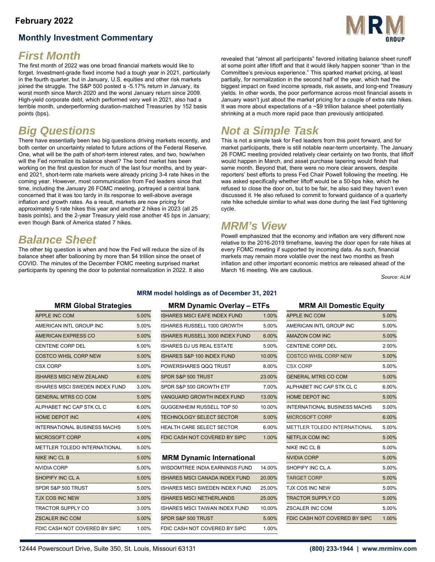#### **February 2022**

### **Monthly Investment Commentary**



### *First Month*

The first month of 2022 was one broad financial markets would like to forget. Investment-grade fixed income had a tough year in 2021, particularly in the fourth quarter, but in January, U.S. equities and other risk markets joined the struggle. The S&P 500 posted a -5.17% return in January, its worst month since March 2020 and the worst January return since 2009. High-yield corporate debt, which performed very well in 2021, also had a terrible month, underperforming duration-matched Treasuries by 152 basis points (bps).

## *Big Questions*

There have essentially been two big questions driving markets recently, and both center on uncertainty related to future actions of the Federal Reserve. One, what will be the path of short-term interest rates, and two, how/when will the Fed normalize its balance sheet? The bond market has been working on the first question for much of the last four months, and by yearend 2021, short-term rate markets were already pricing 3-4 rate hikes in the coming year. However, most communication from Fed leaders since that time, including the January 26 FOMC meeting, portrayed a central bank concerned that it was too tardy in its response to well-above average inflation and growth rates. As a result, markets are now pricing for approximately 5 rate hikes this year and another 2 hikes in 2023 (all 25 basis points), and the 2-year Treasury yield rose another 45 bps in January; even though Bank of America stated 7 hikes.

### *Balance Sheet*

The other big question is when and how the Fed will reduce the size of its balance sheet after ballooning by more than \$4 trillion since the onset of COVID. The minutes of the December FOMC meeting surprised market participants by opening the door to potential normalization in 2022. It also

revealed that "almost all participants" favored initiating balance sheet runoff at some point after liftoff and that it would likely happen sooner "than in the Committee's previous experience." This sparked market pricing, at least partially, for normalization in the second half of the year, which had the biggest impact on fixed income spreads, risk assets, and long-end Treasury yields. In other words, the poor performance across most financial assets in January wasn't just about the market pricing for a couple of extra rate hikes. It was more about expectations of a ~\$9 trillion balance sheet potentially shrinking at a much more rapid pace than previously anticipated.

## *Not a Simple Task*

This is not a simple task for Fed leaders from this point forward, and for market participants, there is still notable near-term uncertainty. The January 26 FOMC meeting provided relatively clear certainty on two fronts, that liftoff would happen in March, and asset purchase tapering would finish that same month. Beyond that, there were no more clear answers, despite reporters' best efforts to press Fed Chair Powell following the meeting. He was asked specifically whether liftoff would be a 50-bps hike, which he refused to close the door on, but to be fair, he also said they haven't even discussed it. He also refused to commit to forward guidance of a quarterly rate hike schedule similar to what was done during the last Fed tightening cycle.

### *MRM's View*

Powell emphasized that the economy and inflation are very different now relative to the 2016-2019 timeframe, leaving the door open for rate hikes at every FOMC meeting if supported by incoming data. As such, financial markets may remain more volatile over the next two months as fresh inflation and other important economic metrics are released ahead of the March 16 meeting. We are cautious.

*Source: ALM*

#### **MRM model holdings as of December 31, 2021**

| <b>APPLE INC COM</b>                  | 5.00% | <b>ISHARES MSCI EAFE INDEX FUND</b>    | 1.00%  | <b>APPLE INC COM</b>                | 5.00% |
|---------------------------------------|-------|----------------------------------------|--------|-------------------------------------|-------|
| AMERICAN INTL GROUP INC               | 5.00% | ISHARES RUSSELL 1000 GROWTH            | 5.00%  | AMERICAN INTL GROUP INC             | 5.00% |
| AMERICAN EXPRESS CO                   | 5.00% | <b>ISHARES RUSSELL 3000 INDEX FUND</b> | 6.00%  | <b>AMAZON COM INC</b>               | 5.00% |
| CENTENE CORP DEL                      | 5.00% | ISHARES DJ US REAL ESTATE              | 5.00%  | <b>CENTENE CORP DEL</b>             | 2.00% |
| <b>COSTCO WHSL CORP NEW</b>           | 5.00% | ISHARES S&P 100 INDEX FUND             | 10.00% | <b>COSTCO WHSL CORP NEW</b>         | 5.00% |
| <b>CSX CORP</b>                       | 5.00% | POWERSHARES QQQ TRUST                  | 8.00%  | <b>CSX CORP</b>                     | 5.00% |
| <b>ISHARES MSCI NEW ZEALAND</b>       | 6.00% | SPDR S&P 500 TRUST                     | 23.00% | <b>GENERAL MTRS CO COM</b>          | 5.00% |
| <b>ISHARES MSCI SWEDEN INDEX FUND</b> | 3.00% | SPDR S&P 500 GROWTH ETF                | 7.00%  | ALPHABET INC CAP STK CL C           | 6.00% |
| <b>GENERAL MTRS CO COM</b>            | 5.00% | <b>VANGUARD GROWTH INDEX FUND</b>      | 13.00% | <b>HOME DEPOT INC</b>               | 5.00% |
| ALPHABET INC CAP STK CL C             | 6.00% | GUGGENHEIM RUSSELL TOP 50              | 10.00% | <b>INTERNATIONAL BUSINESS MACHS</b> | 5.00% |
| <b>HOME DEPOT INC</b>                 | 4.00% | <b>TECHNOLOGY SELECT SECTOR</b>        | 5.00%  | <b>MICROSOFT CORP</b>               | 6.00% |
| <b>INTERNATIONAL BUSINESS MACHS</b>   | 5.00% | <b>HEALTH CARE SELECT SECTOR</b>       | 6.00%  | <b>METTLER TOLEDO INTERNATIONAL</b> | 5.00% |
| <b>MICROSOFT CORP</b>                 | 4.00% | FDIC CASH NOT COVERED BY SIPC          | 1.00%  | <b>NETFLIX COM INC</b>              | 5.00% |
| METTLER TOLEDO INTERNATIONAL          | 5.00% |                                        |        | <b>NIKE INC CLB</b>                 | 5.00% |
| <b>NIKE INC CLB</b>                   | 5.00% | <b>MRM Dynamic International</b>       |        | <b>NVIDIA CORP</b>                  | 5.00% |
| <b>NVIDIA CORP</b>                    | 5.00% | WISDOMTREE INDIA EARNINGS FUND         | 14.00% | SHOPIFY INC CLA                     | 5.00% |
| <b>SHOPIFY INC CLA</b>                | 5.00% | <b>ISHARES MSCI CANADA INDEX FUND</b>  | 20.00% | <b>TARGET CORP</b>                  | 5.00% |
| SPDR S&P 500 TRUST                    | 5.00% | <b>ISHARES MSCI SWEDEN INDEX FUND</b>  | 25.00% | <b>TJX COS INC NEW</b>              | 5.00% |
| <b>TJX COS INC NEW</b>                | 3.00% | <b>ISHARES MSCI NETHERLANDS</b>        | 25.00% | <b>TRACTOR SUPPLY CO</b>            | 5.00% |
| TRACTOR SUPPLY CO                     | 3.00% | ISHARES MSCI TAIWAN INDEX FUND         | 10.00% | <b>ZSCALER INC COM</b>              | 5.00% |
| <b>ZSCALER INC COM</b>                | 5.00% | SPDR S&P 500 TRUST                     | 5.00%  | FDIC CASH NOT COVERED BY SIPC       | 1.00% |
| FDIC CASH NOT COVERED BY SIPC         | 1.00% | FDIC CASH NOT COVERED BY SIPC          | 1.00%  |                                     |       |
|                                       |       |                                        |        |                                     |       |

#### **MRM Global Strategies MRM Dynamic Overlay – ETFs MRM All Domestic Equity**

| APPLE INC COM                  | 5.00% | <b>ISHARES MSCI EAFE INDEX FUND</b>    | 1.00%  | <b>APPLE INC COM</b>         | 5.00% |
|--------------------------------|-------|----------------------------------------|--------|------------------------------|-------|
| AMERICAN INTL GROUP INC        | 5.00% | ISHARES RUSSELL 1000 GROWTH            | 5.00%  | AMERICAN INTL GROUP INC      | 5.00% |
| AMERICAN EXPRESS CO            | 5.00% | <b>ISHARES RUSSELL 3000 INDEX FUND</b> | 6.00%  | <b>AMAZON COM INC</b>        | 5.00% |
| CENTENE CORP DEL               | 5.00% | <b>ISHARES DJ US REAL ESTATE</b>       | 5.00%  | <b>CENTENE CORP DEL</b>      | 2.00% |
| COSTCO WHSL CORP NEW           | 5.00% | <b>ISHARES S&amp;P 100 INDEX FUND</b>  | 10.00% | <b>COSTCO WHSL CORP NEW</b>  | 5.00% |
| CSX CORP                       | 5.00% | POWERSHARES QQQ TRUST                  | 8.00%  | <b>CSX CORP</b>              | 5.00% |
| ISHARES MSCI NEW ZEALAND       | 6.00% | SPDR S&P 500 TRUST                     | 23.00% | <b>GENERAL MTRS CO COM</b>   | 5.00% |
| ISHARES MSCI SWEDEN INDEX FUND | 3.00% | SPDR S&P 500 GROWTH ETF                | 7.00%  | ALPHABET INC CAP STK CL C    | 6.00% |
| GENERAL MTRS CO COM            | 5.00% | VANGUARD GROWTH INDEX FUND             | 13.00% | <b>HOME DEPOT INC</b>        | 5.00% |
| ALPHABET INC CAP STK CL C      | 6.00% | GUGGENHEIM RUSSELL TOP 50              | 10.00% | INTERNATIONAL BUSINESS MACHS | 5.00% |
| HOME DEPOT INC                 | 4.00% | <b>TECHNOLOGY SELECT SECTOR</b>        | 5.00%  | <b>MICROSOFT CORP</b>        | 6.00% |
| INTERNATIONAL BUSINESS MACHS   | 5.00% | <b>HEALTH CARE SELECT SECTOR</b>       | 6.00%  | METTLER TOLEDO INTERNATIONAL | 5.00% |
| MICROSOFT CORP                 | 4.00% | FDIC CASH NOT COVERED BY SIPC          | 1.00%  | <b>NETFLIX COM INC</b>       | 5.00% |
|                                |       |                                        |        |                              |       |

#### **MRM Dynamic International**

| NVIDIA CORP                   | 5.00% | WISDOMTREE INDIA EARNINGS FUND        | 14.00% | SHOPIFY INC CL A              | 5.00% |
|-------------------------------|-------|---------------------------------------|--------|-------------------------------|-------|
| SHOPIFY INC CL A              | 5.00% | <b>ISHARES MSCI CANADA INDEX FUND</b> | 20.00% | <b>TARGET CORP</b>            | 5.00% |
| SPDR S&P 500 TRUST            | 5.00% | ISHARES MSCI SWEDEN INDEX FUND        | 25.00% | <b>TJX COS INC NEW</b>        | 5.00% |
| TJX COS INC NEW               | 3.00% | <b>ISHARES MSCI NETHERLANDS</b>       | 25.00% | <b>TRACTOR SUPPLY CO</b>      | 5.00% |
| TRACTOR SUPPLY CO             | 3.00% | ISHARES MSCI TAIWAN INDEX FUND        | 10.00% | ZSCALER INC COM               | 5.00% |
| ZSCALER INC COM               | 5.00% | SPDR S&P 500 TRUST                    | 5.00%  | FDIC CASH NOT COVERED BY SIPC | 1.00% |
| FDIC CASH NOT COVERED BY SIPC | 1.00% | FDIC CASH NOT COVERED BY SIPC         | 1.00%  |                               |       |

| <b>APPLE INC COM</b>                | 5.00% |
|-------------------------------------|-------|
| AMERICAN INTL GROUP INC             | 5.00% |
| <b>AMAZON COM INC</b>               | 5.00% |
| CENTENE CORP DEL                    | 2.00% |
| <b>COSTCO WHSL CORP NEW</b>         | 5.00% |
| <b>CSX CORP</b>                     | 5.00% |
| <b>GENERAL MTRS CO COM</b>          | 5.00% |
| ALPHABET INC CAP STK CL C           | 6.00% |
| <b>HOME DEPOT INC</b>               | 5.00% |
| <b>INTERNATIONAL BUSINESS MACHS</b> | 5.00% |
| <b>MICROSOFT CORP</b>               | 6.00% |
| <b>METTLER TOLEDO INTERNATIONAL</b> | 5.00% |
| <b>NETFLIX COM INC</b>              | 5.00% |
| NIKE INC CL B                       | 5.00% |
| <b>NVIDIA CORP</b>                  | 5.00% |
| SHOPIFY INC CLA                     | 5.00% |
| <b>TARGET CORP</b>                  | 5.00% |
| <b>TJX COS INC NEW</b>              | 5.00% |
| <b>TRACTOR SUPPLY CO</b>            | 5.00% |
| ZSCALER INC COM                     | 5.00% |
| FDIC CASH NOT COVERED BY SIPC       | 1.00% |
|                                     |       |